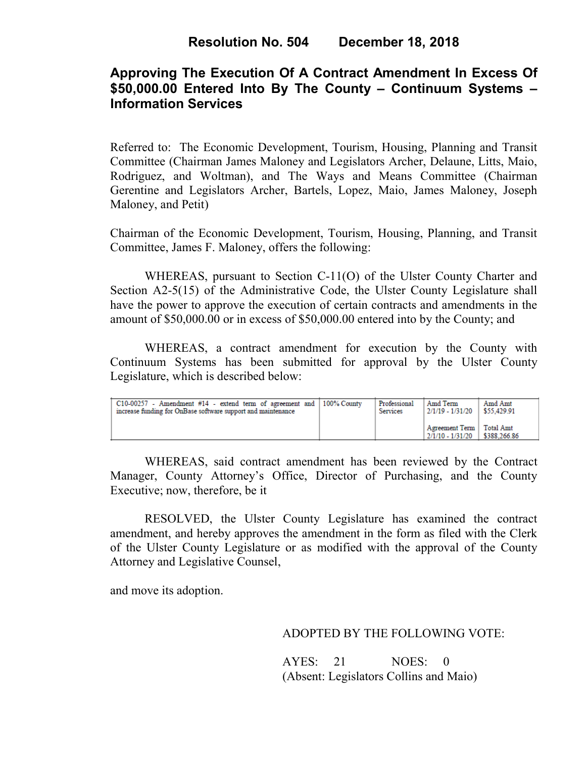# **Approving The Execution Of A Contract Amendment In Excess Of \$50,000.00 Entered Into By The County – Continuum Systems – Information Services**

Referred to: The Economic Development, Tourism, Housing, Planning and Transit Committee (Chairman James Maloney and Legislators Archer, Delaune, Litts, Maio, Rodriguez, and Woltman), and The Ways and Means Committee (Chairman Gerentine and Legislators Archer, Bartels, Lopez, Maio, James Maloney, Joseph Maloney, and Petit)

Chairman of the Economic Development, Tourism, Housing, Planning, and Transit Committee, James F. Maloney, offers the following:

WHEREAS, pursuant to Section C-11(O) of the Ulster County Charter and Section A2-5(15) of the Administrative Code, the Ulster County Legislature shall have the power to approve the execution of certain contracts and amendments in the amount of \$50,000.00 or in excess of \$50,000.00 entered into by the County; and

WHEREAS, a contract amendment for execution by the County with Continuum Systems has been submitted for approval by the Ulster County Legislature, which is described below:

| $C10-00257$ - Amendment #14 - extend term of agreement and 100% County | Professional | Amd Term                                       | Amd Amt      |
|------------------------------------------------------------------------|--------------|------------------------------------------------|--------------|
| increase funding for OnBase software support and maintenance           | Services     | 2/1/19 - 1/31/20                               | \$55,429.91  |
|                                                                        |              | Agreement Term   Total Amt<br>2/1/10 - 1/31/20 | \$388,266.86 |

WHEREAS, said contract amendment has been reviewed by the Contract Manager, County Attorney's Office, Director of Purchasing, and the County Executive; now, therefore, be it

RESOLVED, the Ulster County Legislature has examined the contract amendment, and hereby approves the amendment in the form as filed with the Clerk of the Ulster County Legislature or as modified with the approval of the County Attorney and Legislative Counsel,

and move its adoption.

ADOPTED BY THE FOLLOWING VOTE:

AYES: 21 NOES: 0 (Absent: Legislators Collins and Maio)